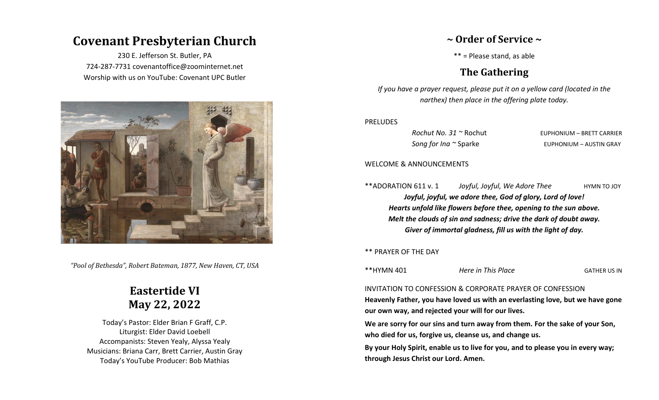# **Covenant Presbyterian Church**

230 E. Jefferson St. Butler, PA 724-287-7731 covenantoffice@zoominternet.net Worship with us on YouTube: Covenant UPC Butler



*"Pool of Bethesda", Robert Bateman, 1877, New Haven, CT, USA*

# **Eastertide VI May 22, 2022**

Today's Pastor: Elder Brian F Graff, C.P. Liturgist: Elder David Loebell Accompanists: Steven Yealy, Alyssa Yealy Musicians: Briana Carr, Brett Carrier, Austin Gray Today's YouTube Producer: Bob Mathias

### **~ Order of Service ~**

\*\* = Please stand, as able

## **The Gathering**

*If you have a prayer request, please put it on a yellow card (located in the narthex) then place in the offering plate today.*

#### PRELUDES

*Rochut No. 31*  $\sim$  Rochut **EUPHONIUM** – BRETT CARRIER **Song for Ina ~ Sparke The EUPHONIUM – AUSTIN GRAY** 

#### WELCOME & ANNOUNCEMENTS

\*\*ADORATION 611 v. 1 *Joyful, Joyful, We Adore Thee* HYMN TO JOY *Joyful, joyful, we adore thee, God of glory, Lord of love! Hearts unfold like flowers before thee, opening to the sun above. Melt the clouds of sin and sadness; drive the dark of doubt away. Giver of immortal gladness, fill us with the light of day.*

\*\* PRAYER OF THE DAY

\*\*HYMN 401 *Here in This Place* GATHER US IN

#### INVITATION TO CONFESSION & CORPORATE PRAYER OF CONFESSION

**Heavenly Father, you have loved us with an everlasting love, but we have gone our own way, and rejected your will for our lives.**

**We are sorry for our sins and turn away from them. For the sake of your Son, who died for us, forgive us, cleanse us, and change us.**

**By your Holy Spirit, enable us to live for you, and to please you in every way; through Jesus Christ our Lord. Amen.**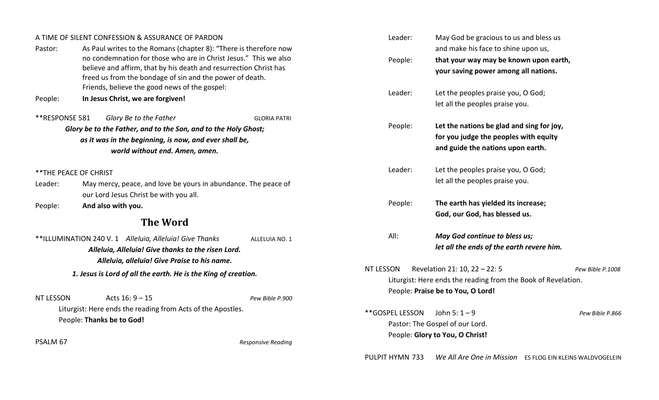| A TIME OF SILENT CONFESSION & ASSURANCE OF PARDON                                                                               |                                                                                                           |                           | Leader:                                                        | May God be gracious to us and bless us    |                                                           |
|---------------------------------------------------------------------------------------------------------------------------------|-----------------------------------------------------------------------------------------------------------|---------------------------|----------------------------------------------------------------|-------------------------------------------|-----------------------------------------------------------|
| Pastor:                                                                                                                         | As Paul writes to the Romans (chapter 8): "There is therefore now                                         |                           |                                                                | and make his face to shine upon us,       |                                                           |
|                                                                                                                                 | no condemnation for those who are in Christ Jesus." This we also                                          |                           | People:                                                        | that your way may be known upon earth,    |                                                           |
|                                                                                                                                 | believe and affirm, that by his death and resurrection Christ has                                         |                           |                                                                | your saving power among all nations.      |                                                           |
|                                                                                                                                 | freed us from the bondage of sin and the power of death.<br>Friends, believe the good news of the gospel: |                           |                                                                |                                           |                                                           |
|                                                                                                                                 | In Jesus Christ, we are forgiven!                                                                         |                           | Leader:                                                        | Let the peoples praise you, O God;        |                                                           |
| People:                                                                                                                         |                                                                                                           |                           |                                                                | let all the peoples praise you.           |                                                           |
| **RESPONSE 581                                                                                                                  | Glory Be to the Father                                                                                    | <b>GLORIA PATRI</b>       |                                                                |                                           |                                                           |
|                                                                                                                                 | Glory be to the Father, and to the Son, and to the Holy Ghost;                                            |                           | People:                                                        | Let the nations be glad and sing for joy, |                                                           |
| as it was in the beginning, is now, and ever shall be,<br>world without end. Amen, amen.                                        |                                                                                                           |                           |                                                                | for you judge the peoples with equity     |                                                           |
|                                                                                                                                 |                                                                                                           |                           |                                                                | and guide the nations upon earth.         |                                                           |
|                                                                                                                                 |                                                                                                           |                           | Leader:                                                        | Let the peoples praise you, O God;        |                                                           |
| ** THE PEACE OF CHRIST                                                                                                          |                                                                                                           |                           |                                                                | let all the peoples praise you.           |                                                           |
| Leader:                                                                                                                         | May mercy, peace, and love be yours in abundance. The peace of                                            |                           |                                                                |                                           |                                                           |
|                                                                                                                                 | our Lord Jesus Christ be with you all.                                                                    |                           | People:                                                        | The earth has yielded its increase;       |                                                           |
| And also with you.<br>People:                                                                                                   |                                                                                                           |                           |                                                                | God, our God, has blessed us.             |                                                           |
|                                                                                                                                 | <b>The Word</b>                                                                                           |                           |                                                                |                                           |                                                           |
| **ILLUMINATION 240 V. 1 Alleluia, Alleluia! Give Thanks<br>ALLELUIA NO. 1<br>Alleluia, Alleluia! Give thanks to the risen Lord. |                                                                                                           |                           | All:                                                           | May God continue to bless us;             |                                                           |
|                                                                                                                                 |                                                                                                           |                           |                                                                | let all the ends of the earth revere him. |                                                           |
|                                                                                                                                 | Alleluia, alleluia! Give Praise to his name.                                                              |                           |                                                                |                                           |                                                           |
| 1. Jesus is Lord of all the earth. He is the King of creation.                                                                  |                                                                                                           |                           | NT LESSON<br>Revelation 21: 10, 22 - 22: 5<br>Pew Bible P.1008 |                                           |                                                           |
|                                                                                                                                 |                                                                                                           |                           | Liturgist: Here ends the reading from the Book of Revelation.  |                                           |                                                           |
|                                                                                                                                 |                                                                                                           |                           |                                                                | People: Praise be to You, O Lord!         |                                                           |
| <b>NT LESSON</b>                                                                                                                | Acts $16:9 - 15$                                                                                          | Pew Bible P.900           |                                                                |                                           |                                                           |
| Liturgist: Here ends the reading from Acts of the Apostles.<br>People: Thanks be to God!                                        |                                                                                                           |                           | **GOSPEL LESSON                                                | John 5: $1 - 9$                           | Pew Bible P.866                                           |
|                                                                                                                                 |                                                                                                           |                           | Pastor: The Gospel of our Lord.                                |                                           |                                                           |
|                                                                                                                                 |                                                                                                           |                           |                                                                | People: Glory to You, O Christ!           |                                                           |
| PSALM 67                                                                                                                        |                                                                                                           | <b>Responsive Reading</b> |                                                                |                                           |                                                           |
|                                                                                                                                 |                                                                                                           |                           | PULPIT HYMN 733                                                |                                           | We All Are One in Mission ES FLOG EIN KLEINS WALDVOGELEIN |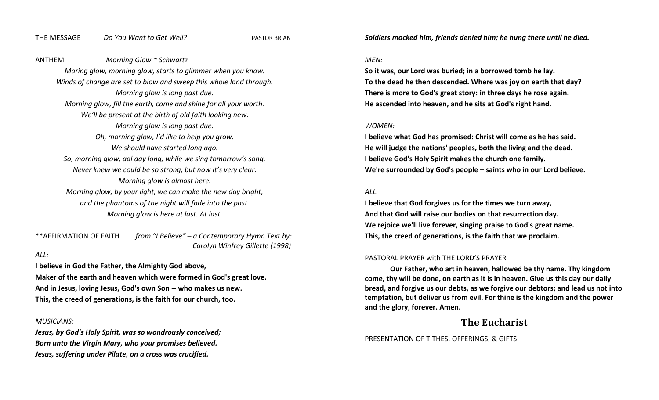#### THE MESSAGE *Do You Want to Get Well?* PASTOR BRIAN

*Soldiers mocked him, friends denied him; he hung there until he died.*

#### ANTHEM *Morning Glow ~ Schwartz*

*Moring glow, morning glow, starts to glimmer when you know. Winds of change are set to blow and sweep this whole land through. Morning glow is long past due. Morning glow, fill the earth, come and shine for all your worth. We'll be present at the birth of old faith looking new. Morning glow is long past due. Oh, morning glow, I'd like to help you grow. We should have started long ago. So, morning glow, aal day long, while we sing tomorrow's song. Never knew we could be so strong, but now it's very clear. Morning glow is almost here. Morning glow, by your light, we can make the new day bright; and the phantoms of the night will fade into the past. Morning glow is here at last. At last.*

\*\*AFFIRMATION OF FAITH *from "I Believe" – a Contemporary Hymn Text by: Carolyn Winfrey Gillette (1998)*

#### *ALL:*

**I believe in God the Father, the Almighty God above,**

**Maker of the earth and heaven which were formed in God's great love. And in Jesus, loving Jesus, God's own Son -- who makes us new. This, the creed of generations, is the faith for our church, too.**

#### *MUSICIANS:*

*Jesus, by God's Holy Spirit, was so wondrously conceived; Born unto the Virgin Mary, who your promises believed. Jesus, suffering under Pilate, on a cross was crucified.*

#### *MEN:*

**So it was, our Lord was buried; in a borrowed tomb he lay. To the dead he then descended. Where was joy on earth that day? There is more to God's great story: in three days he rose again. He ascended into heaven, and he sits at God's right hand.**

#### *WOMEN:*

**I believe what God has promised: Christ will come as he has said. He will judge the nations' peoples, both the living and the dead. I believe God's Holy Spirit makes the church one family. We're surrounded by God's people – saints who in our Lord believe.**

#### *ALL:*

**I believe that God forgives us for the times we turn away, And that God will raise our bodies on that resurrection day. We rejoice we'll live forever, singing praise to God's great name. This, the creed of generations, is the faith that we proclaim.** 

#### PASTORAL PRAYER with THE LORD'S PRAYER

**Our Father, who art in heaven, hallowed be thy name. Thy kingdom come, thy will be done, on earth as it is in heaven. Give us this day our daily bread, and forgive us our debts, as we forgive our debtors; and lead us not into temptation, but deliver us from evil. For thine is the kingdom and the power and the glory, forever. Amen.**

### **The Eucharist**

PRESENTATION OF TITHES, OFFERINGS, & GIFTS